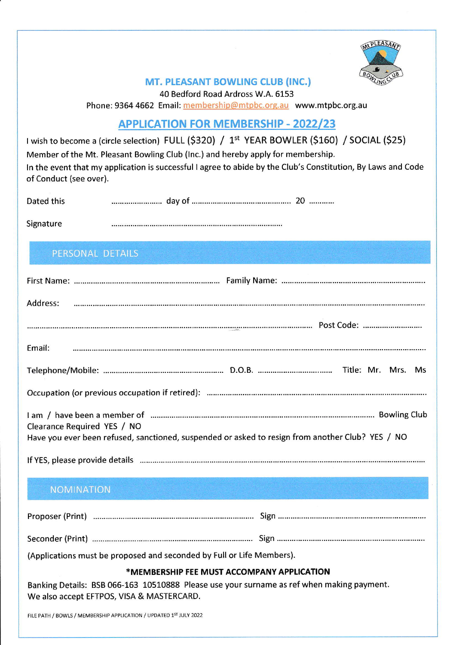

#### MT. PLEASANT BOWLING CLUB (INC.)

40 Bedford Road Ardross W.A. 5153

Phone: 9364 4662 Email: membership@mtpbc.org.au www.mtpbc.org.au

### **APPLICATION FOR MEMBERSHIP - 2022/23**

I wish to become a (circle selection) FULL (\$320) / 1<sup>st</sup> YEAR BOWLER (\$160) / SOCIAL (\$25) Member of the Mt. Pleasant Bowling Club (lnc.) and hereby apply for membership. In the event that my application is successful I agree to abide by the Club's Constitution, By Laws and Code of Conduct (see over).

Dated this **20 million** 20 million and 20 million and 20 million and 20 million and 20 million and 20 million and 20 million and 20 million and 20 million and 20 million and 20 million and 20 million and 20 million and 20

Signature 

#### PERSONAL DETAILS

| Clearance Required YES / NO<br>Have you ever been refused, sanctioned, suspended or asked to resign from another Club? YES / NO |                                                                                                                                                                                                                                |  |  |
|---------------------------------------------------------------------------------------------------------------------------------|--------------------------------------------------------------------------------------------------------------------------------------------------------------------------------------------------------------------------------|--|--|
|                                                                                                                                 |                                                                                                                                                                                                                                |  |  |
|                                                                                                                                 | <b>NOMINATION</b>                                                                                                                                                                                                              |  |  |
|                                                                                                                                 | Proposer (Print) manufacture and content to the content of the content of the content of the content of the content of the content of the content of the content of the content of the content of the content of the content o |  |  |

(Applications must be proposed and seconded by Full or Life Members).

Seconder (Print) Sign

#### \*MEMBERSHIP FEE MUST ACCOMPANY APPLICATION

Banking Details: BSB 066-163 10510888 Please use your surname as ref when making payment. We also accept EFTPOS, VISA & MASTERCARD.

FILE PATH / BOWLS / MEMBERSHIP APPLICATION / UPDATED 1ST JULY 2022